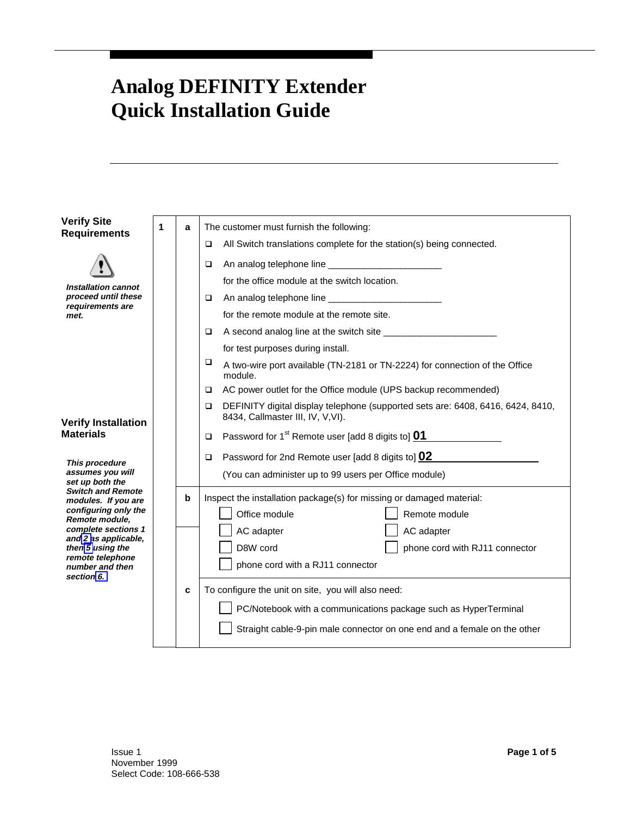## <span id="page-0-0"></span>**Analog DEFINITY Extender Quick Installation Guide**

| <b>Verify Site</b>                                | 1 | a | The customer must furnish the following:                                                                                  |
|---------------------------------------------------|---|---|---------------------------------------------------------------------------------------------------------------------------|
| <b>Requirements</b>                               |   |   | All Switch translations complete for the station(s) being connected.<br>▫                                                 |
|                                                   |   |   | ▫                                                                                                                         |
|                                                   |   |   | for the office module at the switch location.                                                                             |
| Installation cannot<br>proceed until these        |   |   | ▫                                                                                                                         |
| requirements are<br>met.                          |   |   | for the remote module at the remote site.                                                                                 |
|                                                   |   |   | ▫                                                                                                                         |
|                                                   |   |   | for test purposes during install.                                                                                         |
|                                                   |   |   | □<br>A two-wire port available (TN-2181 or TN-2224) for connection of the Office<br>module.                               |
|                                                   |   |   | AC power outlet for the Office module (UPS backup recommended)<br>▫                                                       |
| <b>Verify Installation</b><br><b>Materials</b>    |   |   | DEFINITY digital display telephone (supported sets are: 6408, 6416, 6424, 8410,<br>▫<br>8434, Callmaster III, IV, V, VI). |
|                                                   |   |   | Password for 1 <sup>st</sup> Remote user [add 8 digits to] <b>01</b><br>$\Box$                                            |
| This procedure                                    |   |   | Password for 2nd Remote user [add 8 digits to] 02<br>▫                                                                    |
| assumes you will<br>set up both the               |   |   | (You can administer up to 99 users per Office module)                                                                     |
| <b>Switch and Remote</b><br>modules. If you are   |   | b | Inspect the installation package(s) for missing or damaged material:                                                      |
| configuring only the<br>Remote module.            |   |   | Office module<br>Remote module                                                                                            |
| complete sections 1                               |   |   | AC adapter<br>AC adapter                                                                                                  |
| and 2 as applicable,<br>then 5 using the          |   |   | D8W cord<br>phone cord with RJ11 connector                                                                                |
| remote telephone<br>number and then<br>section 6. |   |   | phone cord with a RJ11 connector                                                                                          |
|                                                   |   | C | To configure the unit on site, you will also need:                                                                        |
|                                                   |   |   | PC/Notebook with a communications package such as HyperTerminal                                                           |
|                                                   |   |   | Straight cable-9-pin male connector on one end and a female on the other                                                  |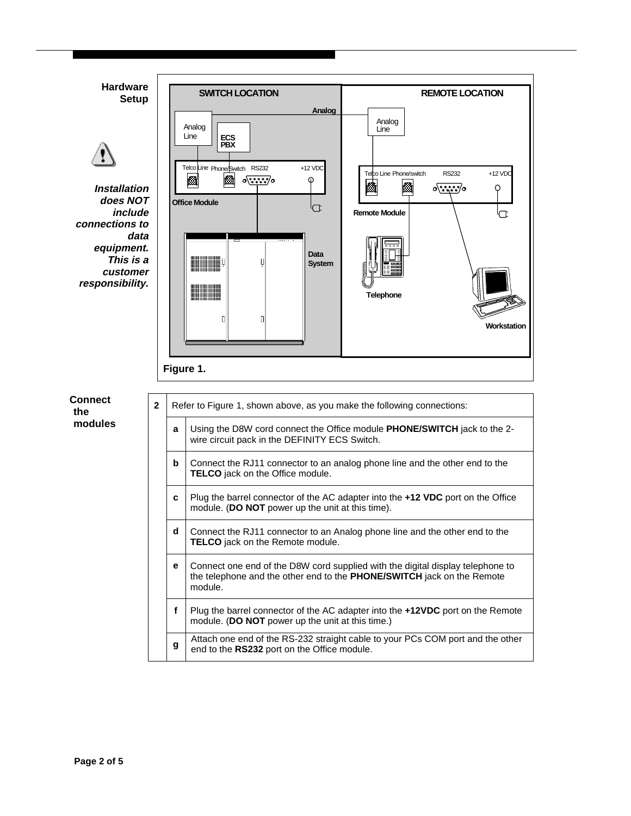<span id="page-1-0"></span>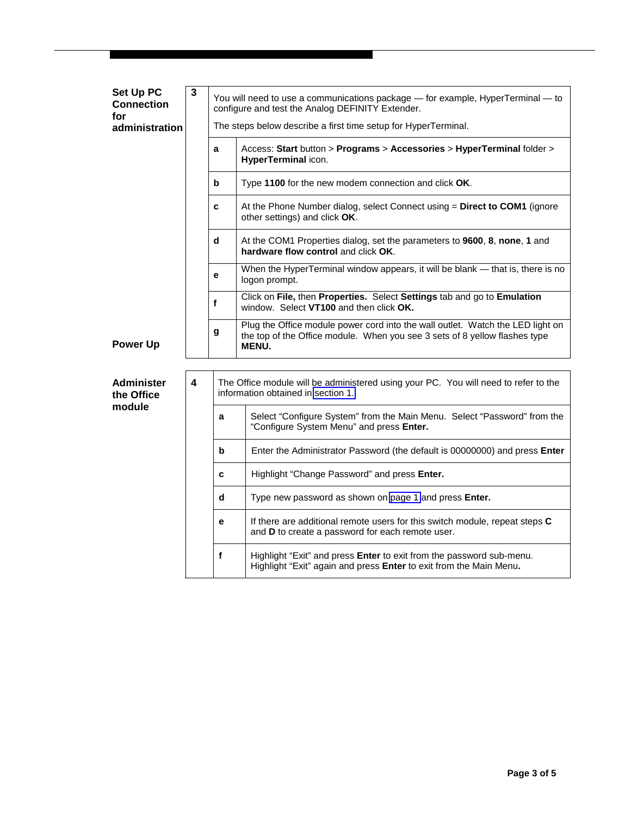| Set Up PC<br><b>Connection</b><br>for<br>administration | $\mathbf{3}$ |   | You will need to use a communications package - for example, HyperTerminal - to<br>configure and test the Analog DEFINITY Extender.<br>The steps below describe a first time setup for HyperTerminal. |
|---------------------------------------------------------|--------------|---|-------------------------------------------------------------------------------------------------------------------------------------------------------------------------------------------------------|
|                                                         |              | a | Access: Start button > Programs > Accessories > HyperTerminal folder ><br>HyperTerminal icon.                                                                                                         |
|                                                         |              | b | Type 1100 for the new modem connection and click OK.                                                                                                                                                  |
|                                                         |              | C | At the Phone Number dialog, select Connect using = Direct to COM1 (ignore<br>other settings) and click OK.                                                                                            |
|                                                         |              | d | At the COM1 Properties dialog, set the parameters to 9600, 8, none, 1 and<br>hardware flow control and click OK.                                                                                      |
|                                                         |              | е | When the HyperTerminal window appears, it will be blank - that is, there is no<br>logon prompt.                                                                                                       |
|                                                         |              | f | Click on File, then Properties. Select Settings tab and go to Emulation<br>window. Select VT100 and then click OK.                                                                                    |
| <b>Power Up</b>                                         |              | g | Plug the Office module power cord into the wall outlet. Watch the LED light on<br>the top of the Office module. When you see 3 sets of 8 yellow flashes type<br><b>MENU.</b>                          |
| <b>Administer</b><br>the Office                         | 4            |   | The Office module will be administered using your PC. You will need to refer to the<br>information obtained in section 1.                                                                             |
| module                                                  |              | a | Select "Configure System" from the Main Menu. Select "Password" from the<br>"Configure System Menu" and press Enter.                                                                                  |
|                                                         |              | b | Enter the Administrator Password (the default is 00000000) and press Enter                                                                                                                            |
|                                                         |              | C | Highlight "Change Password" and press Enter.                                                                                                                                                          |
|                                                         |              | d | Type new password as shown on page 1 and press Enter.                                                                                                                                                 |
|                                                         |              | e | If there are additional remote users for this switch module, repeat steps C<br>and D to create a password for each remote user.                                                                       |
|                                                         |              | f | Highlight "Exit" and press Enter to exit from the password sub-menu.<br>Highlight "Exit" again and press Enter to exit from the Main Menu.                                                            |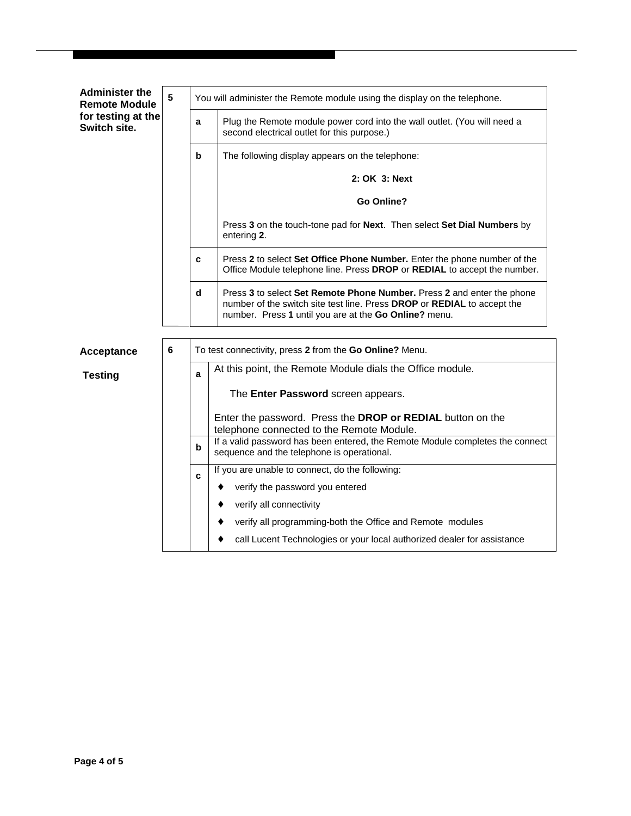<span id="page-3-0"></span>

| 5 | You will administer the Remote module using the display on the telephone. |                                                                                                                                                                                                            |  |
|---|---------------------------------------------------------------------------|------------------------------------------------------------------------------------------------------------------------------------------------------------------------------------------------------------|--|
|   | a                                                                         | Plug the Remote module power cord into the wall outlet. (You will need a<br>second electrical outlet for this purpose.)                                                                                    |  |
|   | $\mathbf b$                                                               | The following display appears on the telephone:                                                                                                                                                            |  |
|   |                                                                           | 2: OK 3: Next                                                                                                                                                                                              |  |
|   |                                                                           | Go Online?                                                                                                                                                                                                 |  |
|   |                                                                           | Press 3 on the touch-tone pad for Next. Then select Set Dial Numbers by<br>entering 2.                                                                                                                     |  |
|   | C                                                                         | Press 2 to select Set Office Phone Number. Enter the phone number of the<br>Office Module telephone line. Press DROP or REDIAL to accept the number.                                                       |  |
|   | d                                                                         | Press 3 to select Set Remote Phone Number. Press 2 and enter the phone<br>number of the switch site test line. Press DROP or REDIAL to accept the<br>number. Press 1 until you are at the Go Online? menu. |  |
| 6 | To test connectivity, press 2 from the Go Online? Menu.                   |                                                                                                                                                                                                            |  |
|   | At this point, the Remote Module dials the Office module.<br>a            |                                                                                                                                                                                                            |  |
|   |                                                                           | The Enter Password screen appears.                                                                                                                                                                         |  |
|   |                                                                           | Enter the password. Press the DROP or REDIAL button on the<br>telephone connected to the Remote Module.                                                                                                    |  |
|   | b                                                                         | If a valid password has been entered, the Remote Module completes the connect<br>sequence and the telephone is operational.                                                                                |  |
|   | C                                                                         | If you are unable to connect, do the following:                                                                                                                                                            |  |
|   |                                                                           | verify the password you entered<br>٠<br>verify all connectivity<br>٠                                                                                                                                       |  |
|   |                                                                           | verify all programming-both the Office and Remote modules<br>٠                                                                                                                                             |  |
|   |                                                                           | call Lucent Technologies or your local authorized dealer for assistance                                                                                                                                    |  |
|   |                                                                           |                                                                                                                                                                                                            |  |